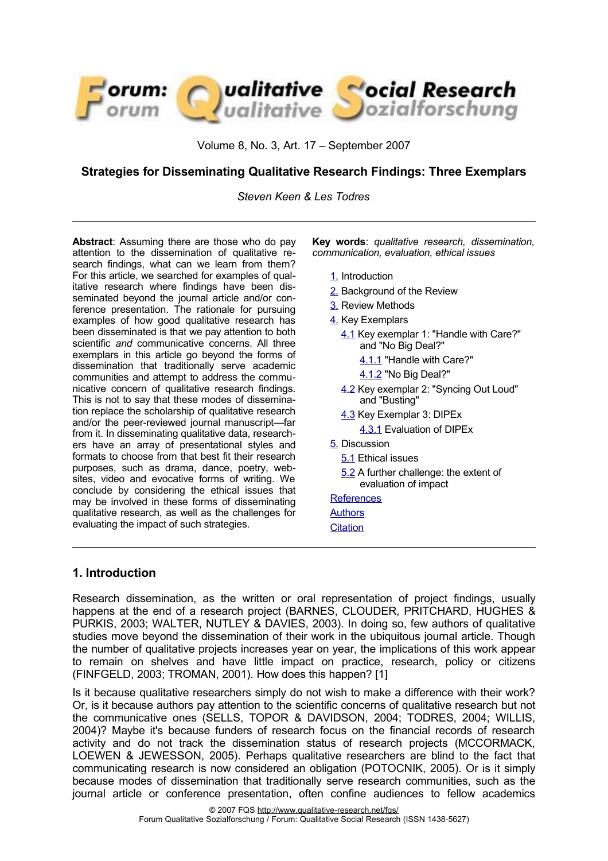

Volume 8, No. 3, Art. 17 – September 2007

# **Strategies for Disseminating Qualitative Research Findings: Three Exemplars**

*Steven Keen & Les Todres*

**Abstract**: Assuming there are those who do pay attention to the dissemination of qualitative research findings, what can we learn from them? For this article, we searched for examples of qualitative research where findings have been disseminated beyond the journal article and/or conference presentation. The rationale for pursuing examples of how good qualitative research has been disseminated is that we pay attention to both scientific *and* communicative concerns. All three exemplars in this article go beyond the forms of dissemination that traditionally serve academic communities and attempt to address the communicative concern of qualitative research findings. This is not to say that these modes of dissemination replace the scholarship of qualitative research and/or the peer-reviewed journal manuscript—far from it. In disseminating qualitative data, researchers have an array of presentational styles and formats to choose from that best fit their research purposes, such as drama, dance, poetry, websites, video and evocative forms of writing. We conclude by considering the ethical issues that may be involved in these forms of disseminating qualitative research, as well as the challenges for evaluating the impact of such strategies.

**Key words**: *qualitative research, dissemination, communication, evaluation, ethical issues*

- [1.](#page-0-0) Introduction
- [2.](#page-1-1) Background of the Review
- [3.](#page-1-0) Review Methods
- [4.](#page-2-2) Key Exemplars
	- [4.1](#page-2-1) Key exemplar 1: "Handle with Care?" and "No Big Deal?"
		- [4.1.1](#page-2-0) "Handle with Care?"
		- [4.1.2](#page-3-0) "No Big Deal?"
	- [4.2](#page-4-0) Key exemplar 2: "Syncing Out Loud" and "Busting"
	- [4.3](#page-5-1) Key Exemplar 3: DIPEx
	- [4.3.1](#page-5-0) Evaluation of DIPEx
- [5.](#page-6-0) Discussion
	- [5.1](#page-7-1) Ethical issues
	- [5.2](#page-7-0) A further challenge: the extent of evaluation of impact

#### **References**

- **Authors**
- **[Citation](#page-11-0)**

# <span id="page-0-0"></span>**1. Introduction**

Research dissemination, as the written or oral representation of project findings, usually happens at the end of a research project (BARNES, CLOUDER, PRITCHARD, HUGHES & PURKIS, 2003; WALTER, NUTLEY & DAVIES, 2003). In doing so, few authors of qualitative studies move beyond the dissemination of their work in the ubiquitous journal article. Though the number of qualitative projects increases year on year, the implications of this work appear to remain on shelves and have little impact on practice, research, policy or citizens (FINFGELD, 2003; TROMAN, 2001). How does this happen? [1]

Is it because qualitative researchers simply do not wish to make a difference with their work? Or, is it because authors pay attention to the scientific concerns of qualitative research but not the communicative ones (SELLS, TOPOR & DAVIDSON, 2004; TODRES, 2004; WILLIS, 2004)? Maybe it's because funders of research focus on the financial records of research activity and do not track the dissemination status of research projects (MCCORMACK, LOEWEN & JEWESSON, 2005). Perhaps qualitative researchers are blind to the fact that communicating research is now considered an obligation (POTOCNIK, 2005). Or is it simply because modes of dissemination that traditionally serve research communities, such as the journal article or conference presentation, often confine audiences to fellow academics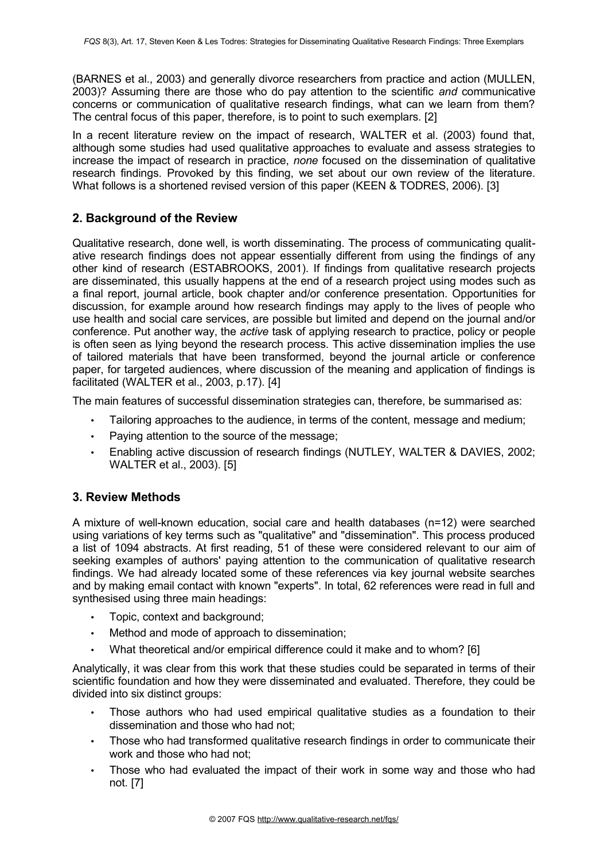(BARNES et al., 2003) and generally divorce researchers from practice and action (MULLEN, 2003)? Assuming there are those who do pay attention to the scientific *and* communicative concerns or communication of qualitative research findings, what can we learn from them? The central focus of this paper, therefore, is to point to such exemplars. [2]

In a recent literature review on the impact of research, WALTER et al. (2003) found that, although some studies had used qualitative approaches to evaluate and assess strategies to increase the impact of research in practice, *none* focused on the dissemination of qualitative research findings. Provoked by this finding, we set about our own review of the literature. What follows is a shortened revised version of this paper (KEEN & TODRES, 2006). [3]

# <span id="page-1-1"></span>**2. Background of the Review**

Qualitative research, done well, is worth disseminating. The process of communicating qualitative research findings does not appear essentially different from using the findings of any other kind of research (ESTABROOKS, 2001). If findings from qualitative research projects are disseminated, this usually happens at the end of a research project using modes such as a final report, journal article, book chapter and/or conference presentation. Opportunities for discussion, for example around how research findings may apply to the lives of people who use health and social care services, are possible but limited and depend on the journal and/or conference. Put another way, the *active* task of applying research to practice, policy or people is often seen as lying beyond the research process. This active dissemination implies the use of tailored materials that have been transformed, beyond the journal article or conference paper, for targeted audiences, where discussion of the meaning and application of findings is facilitated (WALTER et al., 2003, p.17). [4]

The main features of successful dissemination strategies can, therefore, be summarised as:

- Tailoring approaches to the audience, in terms of the content, message and medium;
- Paying attention to the source of the message;
- Enabling active discussion of research findings (NUTLEY, WALTER & DAVIES, 2002; WALTER et al., 2003). [5]

## <span id="page-1-0"></span>**3. Review Methods**

A mixture of well-known education, social care and health databases (n=12) were searched using variations of key terms such as "qualitative" and "dissemination". This process produced a list of 1094 abstracts. At first reading, 51 of these were considered relevant to our aim of seeking examples of authors' paying attention to the communication of qualitative research findings. We had already located some of these references via key journal website searches and by making email contact with known "experts". In total, 62 references were read in full and synthesised using three main headings:

- Topic, context and background;
- Method and mode of approach to dissemination;
- What theoretical and/or empirical difference could it make and to whom? [6]

Analytically, it was clear from this work that these studies could be separated in terms of their scientific foundation and how they were disseminated and evaluated. Therefore, they could be divided into six distinct groups:

- Those authors who had used empirical qualitative studies as a foundation to their dissemination and those who had not;
- Those who had transformed qualitative research findings in order to communicate their work and those who had not;
- Those who had evaluated the impact of their work in some way and those who had not. [7]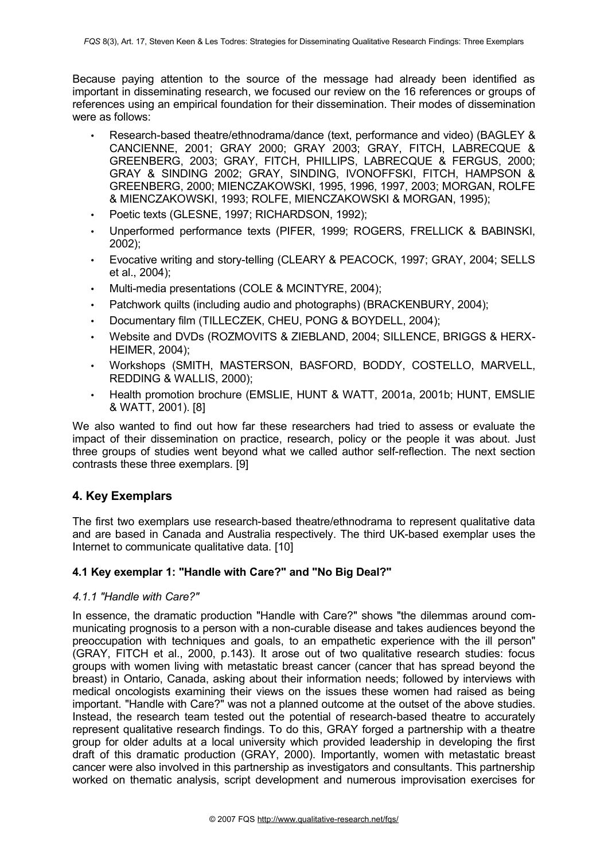Because paying attention to the source of the message had already been identified as important in disseminating research, we focused our review on the 16 references or groups of references using an empirical foundation for their dissemination. Their modes of dissemination were as follows:

- Research-based theatre/ethnodrama/dance (text, performance and video) (BAGLEY & CANCIENNE, 2001; GRAY 2000; GRAY 2003; GRAY, FITCH, LABRECQUE & GREENBERG, 2003; GRAY, FITCH, PHILLIPS, LABRECQUE & FERGUS, 2000; GRAY & SINDING 2002; GRAY, SINDING, IVONOFFSKI, FITCH, HAMPSON & GREENBERG, 2000; MIENCZAKOWSKI, 1995, 1996, 1997, 2003; MORGAN, ROLFE & MIENCZAKOWSKI, 1993; ROLFE, MIENCZAKOWSKI & MORGAN, 1995);
- Poetic texts (GLESNE, 1997; RICHARDSON, 1992);
- Unperformed performance texts (PIFER, 1999; ROGERS, FRELLICK & BABINSKI, 2002);
- Evocative writing and story-telling (CLEARY & PEACOCK, 1997; GRAY, 2004; SELLS et al., 2004);
- Multi-media presentations (COLE & MCINTYRE, 2004);
- Patchwork quilts (including audio and photographs) (BRACKENBURY, 2004);
- Documentary film (TILLECZEK, CHEU, PONG & BOYDELL, 2004);
- Website and DVDs (ROZMOVITS & ZIEBLAND, 2004; SILLENCE, BRIGGS & HERX-HEIMER, 2004);
- Workshops (SMITH, MASTERSON, BASFORD, BODDY, COSTELLO, MARVELL, REDDING & WALLIS, 2000);
- Health promotion brochure (EMSLIE, HUNT & WATT, 2001a, 2001b; HUNT, EMSLIE & WATT, 2001). [8]

We also wanted to find out how far these researchers had tried to assess or evaluate the impact of their dissemination on practice, research, policy or the people it was about. Just three groups of studies went beyond what we called author self-reflection. The next section contrasts these three exemplars. [9]

# <span id="page-2-2"></span>**4. Key Exemplars**

The first two exemplars use research-based theatre/ethnodrama to represent qualitative data and are based in Canada and Australia respectively. The third UK-based exemplar uses the Internet to communicate qualitative data. [10]

## <span id="page-2-1"></span>**4.1 Key exemplar 1: "Handle with Care?" and "No Big Deal?"**

#### <span id="page-2-0"></span>*4.1.1 "Handle with Care?"*

In essence, the dramatic production "Handle with Care?" shows "the dilemmas around communicating prognosis to a person with a non-curable disease and takes audiences beyond the preoccupation with techniques and goals, to an empathetic experience with the ill person" (GRAY, FITCH et al., 2000, p.143). It arose out of two qualitative research studies: focus groups with women living with metastatic breast cancer (cancer that has spread beyond the breast) in Ontario, Canada, asking about their information needs; followed by interviews with medical oncologists examining their views on the issues these women had raised as being important. "Handle with Care?" was not a planned outcome at the outset of the above studies. Instead, the research team tested out the potential of research-based theatre to accurately represent qualitative research findings. To do this, GRAY forged a partnership with a theatre group for older adults at a local university which provided leadership in developing the first draft of this dramatic production (GRAY, 2000). Importantly, women with metastatic breast cancer were also involved in this partnership as investigators and consultants. This partnership worked on thematic analysis, script development and numerous improvisation exercises for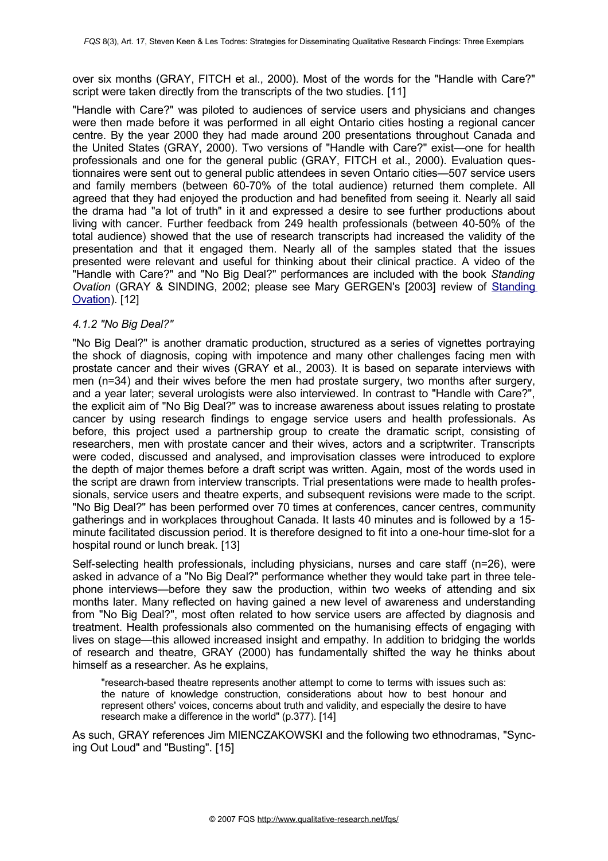over six months (GRAY, FITCH et al., 2000). Most of the words for the "Handle with Care?" script were taken directly from the transcripts of the two studies. [11]

"Handle with Care?" was piloted to audiences of service users and physicians and changes were then made before it was performed in all eight Ontario cities hosting a regional cancer centre. By the year 2000 they had made around 200 presentations throughout Canada and the United States (GRAY, 2000). Two versions of "Handle with Care?" exist—one for health professionals and one for the general public (GRAY, FITCH et al., 2000). Evaluation questionnaires were sent out to general public attendees in seven Ontario cities—507 service users and family members (between 60-70% of the total audience) returned them complete. All agreed that they had enjoyed the production and had benefited from seeing it. Nearly all said the drama had "a lot of truth" in it and expressed a desire to see further productions about living with cancer. Further feedback from 249 health professionals (between 40-50% of the total audience) showed that the use of research transcripts had increased the validity of the presentation and that it engaged them. Nearly all of the samples stated that the issues presented were relevant and useful for thinking about their clinical practice. A video of the "Handle with Care?" and "No Big Deal?" performances are included with the book *Standing Ovation* (GRAY & SINDING, 2002; please see Mary GERGEN's [2003] review of [Standing](http://www.qualitative-research.net/fqs-texte/3-03/3-03review-gergen-e.htm) [Ovation](http://www.qualitative-research.net/fqs-texte/3-03/3-03review-gergen-e.htm)). [12]

### <span id="page-3-0"></span>*4.1.2 "No Big Deal?"*

"No Big Deal?" is another dramatic production, structured as a series of vignettes portraying the shock of diagnosis, coping with impotence and many other challenges facing men with prostate cancer and their wives (GRAY et al., 2003). It is based on separate interviews with men (n=34) and their wives before the men had prostate surgery, two months after surgery, and a year later; several urologists were also interviewed. In contrast to "Handle with Care?", the explicit aim of "No Big Deal?" was to increase awareness about issues relating to prostate cancer by using research findings to engage service users and health professionals. As before, this project used a partnership group to create the dramatic script, consisting of researchers, men with prostate cancer and their wives, actors and a scriptwriter. Transcripts were coded, discussed and analysed, and improvisation classes were introduced to explore the depth of major themes before a draft script was written. Again, most of the words used in the script are drawn from interview transcripts. Trial presentations were made to health professionals, service users and theatre experts, and subsequent revisions were made to the script. "No Big Deal?" has been performed over 70 times at conferences, cancer centres, community gatherings and in workplaces throughout Canada. It lasts 40 minutes and is followed by a 15 minute facilitated discussion period. It is therefore designed to fit into a one-hour time-slot for a hospital round or lunch break. [13]

Self-selecting health professionals, including physicians, nurses and care staff (n=26), were asked in advance of a "No Big Deal?" performance whether they would take part in three telephone interviews—before they saw the production, within two weeks of attending and six months later. Many reflected on having gained a new level of awareness and understanding from "No Big Deal?", most often related to how service users are affected by diagnosis and treatment. Health professionals also commented on the humanising effects of engaging with lives on stage—this allowed increased insight and empathy. In addition to bridging the worlds of research and theatre, GRAY (2000) has fundamentally shifted the way he thinks about himself as a researcher. As he explains,

"research-based theatre represents another attempt to come to terms with issues such as: the nature of knowledge construction, considerations about how to best honour and represent others' voices, concerns about truth and validity, and especially the desire to have research make a difference in the world" (p.377). [14]

As such, GRAY references Jim MIENCZAKOWSKI and the following two ethnodramas, "Syncing Out Loud" and "Busting". [15]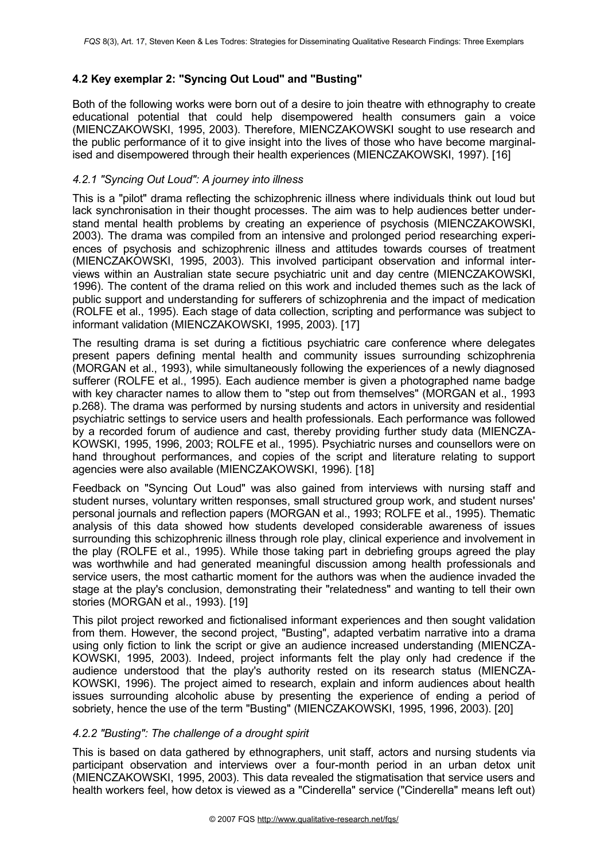# <span id="page-4-0"></span>**4.2 Key exemplar 2: "Syncing Out Loud" and "Busting"**

Both of the following works were born out of a desire to join theatre with ethnography to create educational potential that could help disempowered health consumers gain a voice (MIENCZAKOWSKI, 1995, 2003). Therefore, MIENCZAKOWSKI sought to use research and the public performance of it to give insight into the lives of those who have become marginalised and disempowered through their health experiences (MIENCZAKOWSKI, 1997). [16]

#### *4.2.1 "Syncing Out Loud": A journey into illness*

This is a "pilot" drama reflecting the schizophrenic illness where individuals think out loud but lack synchronisation in their thought processes. The aim was to help audiences better understand mental health problems by creating an experience of psychosis (MIENCZAKOWSKI, 2003). The drama was compiled from an intensive and prolonged period researching experiences of psychosis and schizophrenic illness and attitudes towards courses of treatment (MIENCZAKOWSKI, 1995, 2003). This involved participant observation and informal interviews within an Australian state secure psychiatric unit and day centre (MIENCZAKOWSKI, 1996). The content of the drama relied on this work and included themes such as the lack of public support and understanding for sufferers of schizophrenia and the impact of medication (ROLFE et al., 1995). Each stage of data collection, scripting and performance was subject to informant validation (MIENCZAKOWSKI, 1995, 2003). [17]

The resulting drama is set during a fictitious psychiatric care conference where delegates present papers defining mental health and community issues surrounding schizophrenia (MORGAN et al., 1993), while simultaneously following the experiences of a newly diagnosed sufferer (ROLFE et al., 1995). Each audience member is given a photographed name badge with key character names to allow them to "step out from themselves" (MORGAN et al., 1993 p.268). The drama was performed by nursing students and actors in university and residential psychiatric settings to service users and health professionals. Each performance was followed by a recorded forum of audience and cast, thereby providing further study data (MIENCZA-KOWSKI, 1995, 1996, 2003; ROLFE et al., 1995). Psychiatric nurses and counsellors were on hand throughout performances, and copies of the script and literature relating to support agencies were also available (MIENCZAKOWSKI, 1996). [18]

Feedback on "Syncing Out Loud" was also gained from interviews with nursing staff and student nurses, voluntary written responses, small structured group work, and student nurses' personal journals and reflection papers (MORGAN et al., 1993; ROLFE et al., 1995). Thematic analysis of this data showed how students developed considerable awareness of issues surrounding this schizophrenic illness through role play, clinical experience and involvement in the play (ROLFE et al., 1995). While those taking part in debriefing groups agreed the play was worthwhile and had generated meaningful discussion among health professionals and service users, the most cathartic moment for the authors was when the audience invaded the stage at the play's conclusion, demonstrating their "relatedness" and wanting to tell their own stories (MORGAN et al., 1993). [19]

This pilot project reworked and fictionalised informant experiences and then sought validation from them. However, the second project, "Busting", adapted verbatim narrative into a drama using only fiction to link the script or give an audience increased understanding (MIENCZA-KOWSKI, 1995, 2003). Indeed, project informants felt the play only had credence if the audience understood that the play's authority rested on its research status (MIENCZA-KOWSKI, 1996). The project aimed to research, explain and inform audiences about health issues surrounding alcoholic abuse by presenting the experience of ending a period of sobriety, hence the use of the term "Busting" (MIENCZAKOWSKI, 1995, 1996, 2003). [20]

## *4.2.2 "Busting": The challenge of a drought spirit*

This is based on data gathered by ethnographers, unit staff, actors and nursing students via participant observation and interviews over a four-month period in an urban detox unit (MIENCZAKOWSKI, 1995, 2003). This data revealed the stigmatisation that service users and health workers feel, how detox is viewed as a "Cinderella" service ("Cinderella" means left out)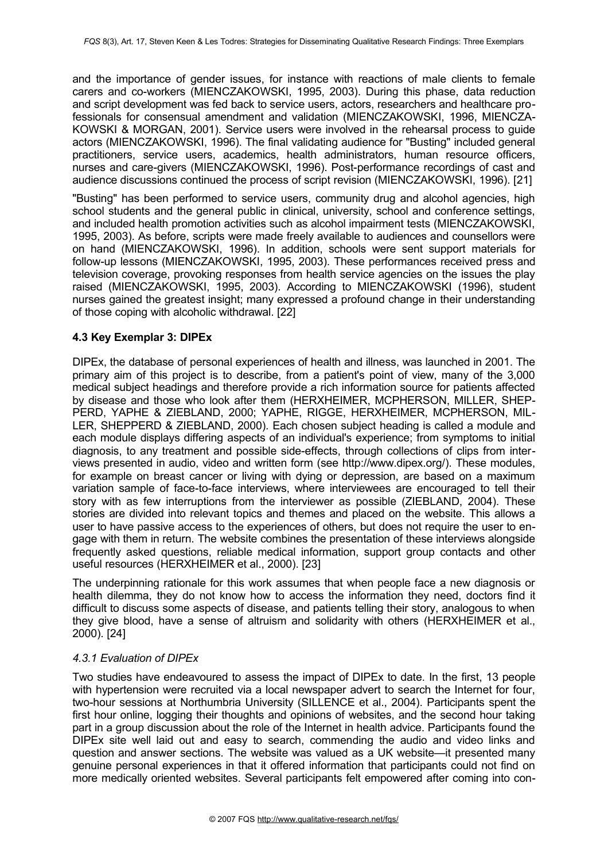and the importance of gender issues, for instance with reactions of male clients to female carers and co-workers (MIENCZAKOWSKI, 1995, 2003). During this phase, data reduction and script development was fed back to service users, actors, researchers and healthcare professionals for consensual amendment and validation (MIENCZAKOWSKI, 1996, MIENCZA-KOWSKI & MORGAN, 2001). Service users were involved in the rehearsal process to guide actors (MIENCZAKOWSKI, 1996). The final validating audience for "Busting" included general practitioners, service users, academics, health administrators, human resource officers, nurses and care-givers (MIENCZAKOWSKI, 1996). Post-performance recordings of cast and audience discussions continued the process of script revision (MIENCZAKOWSKI, 1996). [21]

"Busting" has been performed to service users, community drug and alcohol agencies, high school students and the general public in clinical, university, school and conference settings, and included health promotion activities such as alcohol impairment tests (MIENCZAKOWSKI, 1995, 2003). As before, scripts were made freely available to audiences and counsellors were on hand (MIENCZAKOWSKI, 1996). In addition, schools were sent support materials for follow-up lessons (MIENCZAKOWSKI, 1995, 2003). These performances received press and television coverage, provoking responses from health service agencies on the issues the play raised (MIENCZAKOWSKI, 1995, 2003). According to MIENCZAKOWSKI (1996), student nurses gained the greatest insight; many expressed a profound change in their understanding of those coping with alcoholic withdrawal. [22]

### <span id="page-5-1"></span>**4.3 Key Exemplar 3: DIPEx**

DIPEx, the database of personal experiences of health and illness, was launched in 2001. The primary aim of this project is to describe, from a patient's point of view, many of the 3,000 medical subject headings and therefore provide a rich information source for patients affected by disease and those who look after them (HERXHEIMER, MCPHERSON, MILLER, SHEP-PERD, YAPHE & ZIEBLAND, 2000; YAPHE, RIGGE, HERXHEIMER, MCPHERSON, MIL-LER, SHEPPERD & ZIEBLAND, 2000). Each chosen subject heading is called a module and each module displays differing aspects of an individual's experience; from symptoms to initial diagnosis, to any treatment and possible side-effects, through collections of clips from interviews presented in audio, video and written form (see http://www.dipex.org/). These modules, for example on breast cancer or living with dying or depression, are based on a maximum variation sample of face-to-face interviews, where interviewees are encouraged to tell their story with as few interruptions from the interviewer as possible (ZIEBLAND, 2004). These stories are divided into relevant topics and themes and placed on the website. This allows a user to have passive access to the experiences of others, but does not require the user to engage with them in return. The website combines the presentation of these interviews alongside frequently asked questions, reliable medical information, support group contacts and other useful resources (HERXHEIMER et al., 2000). [23]

The underpinning rationale for this work assumes that when people face a new diagnosis or health dilemma, they do not know how to access the information they need, doctors find it difficult to discuss some aspects of disease, and patients telling their story, analogous to when they give blood, have a sense of altruism and solidarity with others (HERXHEIMER et al., 2000). [24]

#### <span id="page-5-0"></span>*4.3.1 Evaluation of DIPEx*

Two studies have endeavoured to assess the impact of DIPEx to date. In the first, 13 people with hypertension were recruited via a local newspaper advert to search the Internet for four, two-hour sessions at Northumbria University (SILLENCE et al., 2004). Participants spent the first hour online, logging their thoughts and opinions of websites, and the second hour taking part in a group discussion about the role of the Internet in health advice. Participants found the DIPEx site well laid out and easy to search, commending the audio and video links and question and answer sections. The website was valued as a UK website—it presented many genuine personal experiences in that it offered information that participants could not find on more medically oriented websites. Several participants felt empowered after coming into con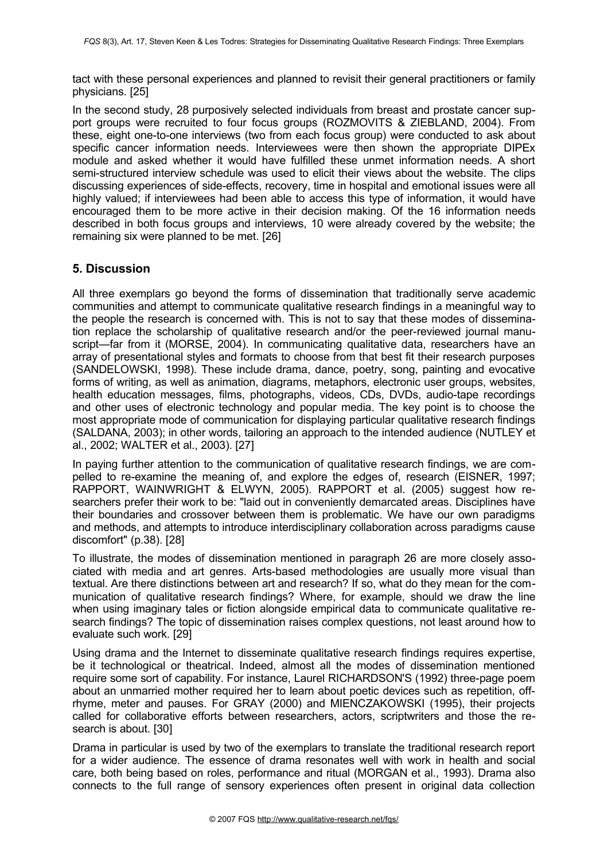tact with these personal experiences and planned to revisit their general practitioners or family physicians. [25]

In the second study, 28 purposively selected individuals from breast and prostate cancer support groups were recruited to four focus groups (ROZMOVITS & ZIEBLAND, 2004). From these, eight one-to-one interviews (two from each focus group) were conducted to ask about specific cancer information needs. Interviewees were then shown the appropriate DIPEx module and asked whether it would have fulfilled these unmet information needs. A short semi-structured interview schedule was used to elicit their views about the website. The clips discussing experiences of side-effects, recovery, time in hospital and emotional issues were all highly valued; if interviewees had been able to access this type of information, it would have encouraged them to be more active in their decision making. Of the 16 information needs described in both focus groups and interviews, 10 were already covered by the website; the remaining six were planned to be met. [26]

# <span id="page-6-0"></span>**5. Discussion**

All three exemplars go beyond the forms of dissemination that traditionally serve academic communities and attempt to communicate qualitative research findings in a meaningful way to the people the research is concerned with. This is not to say that these modes of dissemination replace the scholarship of qualitative research and/or the peer-reviewed journal manuscript—far from it (MORSE, 2004). In communicating qualitative data, researchers have an array of presentational styles and formats to choose from that best fit their research purposes (SANDELOWSKI, 1998). These include drama, dance, poetry, song, painting and evocative forms of writing, as well as animation, diagrams, metaphors, electronic user groups, websites, health education messages, films, photographs, videos, CDs, DVDs, audio-tape recordings and other uses of electronic technology and popular media. The key point is to choose the most appropriate mode of communication for displaying particular qualitative research findings (SALDANA, 2003); in other words, tailoring an approach to the intended audience (NUTLEY et al., 2002; WALTER et al., 2003). [27]

In paying further attention to the communication of qualitative research findings, we are compelled to re-examine the meaning of, and explore the edges of, research (EISNER, 1997; RAPPORT, WAINWRIGHT & ELWYN, 2005). RAPPORT et al. (2005) suggest how researchers prefer their work to be: "laid out in conveniently demarcated areas. Disciplines have their boundaries and crossover between them is problematic. We have our own paradigms and methods, and attempts to introduce interdisciplinary collaboration across paradigms cause discomfort" (p.38). [28]

To illustrate, the modes of dissemination mentioned in paragraph 26 are more closely associated with media and art genres. Arts-based methodologies are usually more visual than textual. Are there distinctions between art and research? If so, what do they mean for the communication of qualitative research findings? Where, for example, should we draw the line when using imaginary tales or fiction alongside empirical data to communicate qualitative research findings? The topic of dissemination raises complex questions, not least around how to evaluate such work. [29]

Using drama and the Internet to disseminate qualitative research findings requires expertise, be it technological or theatrical. Indeed, almost all the modes of dissemination mentioned require some sort of capability. For instance, Laurel RICHARDSON'S (1992) three-page poem about an unmarried mother required her to learn about poetic devices such as repetition, offrhyme, meter and pauses. For GRAY (2000) and MIENCZAKOWSKI (1995), their projects called for collaborative efforts between researchers, actors, scriptwriters and those the research is about. [30]

Drama in particular is used by two of the exemplars to translate the traditional research report for a wider audience. The essence of drama resonates well with work in health and social care, both being based on roles, performance and ritual (MORGAN et al., 1993). Drama also connects to the full range of sensory experiences often present in original data collection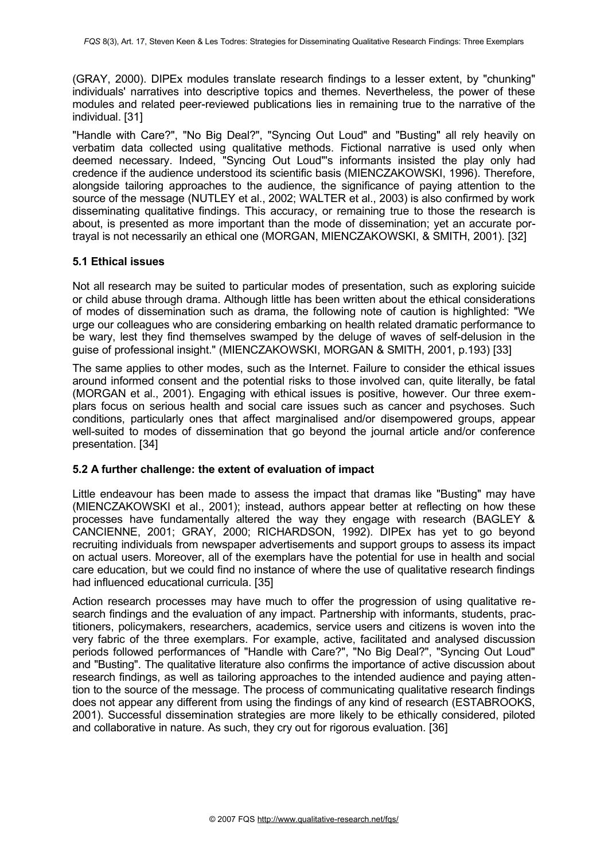(GRAY, 2000). DIPEx modules translate research findings to a lesser extent, by "chunking" individuals' narratives into descriptive topics and themes. Nevertheless, the power of these modules and related peer-reviewed publications lies in remaining true to the narrative of the individual. [31]

"Handle with Care?", "No Big Deal?", "Syncing Out Loud" and "Busting" all rely heavily on verbatim data collected using qualitative methods. Fictional narrative is used only when deemed necessary. Indeed, "Syncing Out Loud"'s informants insisted the play only had credence if the audience understood its scientific basis (MIENCZAKOWSKI, 1996). Therefore, alongside tailoring approaches to the audience, the significance of paying attention to the source of the message (NUTLEY et al., 2002; WALTER et al., 2003) is also confirmed by work disseminating qualitative findings. This accuracy, or remaining true to those the research is about, is presented as more important than the mode of dissemination; yet an accurate portrayal is not necessarily an ethical one (MORGAN, MIENCZAKOWSKI, & SMITH, 2001). [32]

#### <span id="page-7-1"></span>**5.1 Ethical issues**

Not all research may be suited to particular modes of presentation, such as exploring suicide or child abuse through drama. Although little has been written about the ethical considerations of modes of dissemination such as drama, the following note of caution is highlighted: "We urge our colleagues who are considering embarking on health related dramatic performance to be wary, lest they find themselves swamped by the deluge of waves of self-delusion in the guise of professional insight." (MIENCZAKOWSKI, MORGAN & SMITH, 2001, p.193) [33]

The same applies to other modes, such as the Internet. Failure to consider the ethical issues around informed consent and the potential risks to those involved can, quite literally, be fatal (MORGAN et al., 2001). Engaging with ethical issues is positive, however. Our three exemplars focus on serious health and social care issues such as cancer and psychoses. Such conditions, particularly ones that affect marginalised and/or disempowered groups, appear well-suited to modes of dissemination that go beyond the journal article and/or conference presentation. [34]

#### <span id="page-7-0"></span>**5.2 A further challenge: the extent of evaluation of impact**

Little endeavour has been made to assess the impact that dramas like "Busting" may have (MIENCZAKOWSKI et al., 2001); instead, authors appear better at reflecting on how these processes have fundamentally altered the way they engage with research (BAGLEY & CANCIENNE, 2001; GRAY, 2000; RICHARDSON, 1992). DIPEx has yet to go beyond recruiting individuals from newspaper advertisements and support groups to assess its impact on actual users. Moreover, all of the exemplars have the potential for use in health and social care education, but we could find no instance of where the use of qualitative research findings had influenced educational curricula. [35]

Action research processes may have much to offer the progression of using qualitative research findings and the evaluation of any impact. Partnership with informants, students, practitioners, policymakers, researchers, academics, service users and citizens is woven into the very fabric of the three exemplars. For example, active, facilitated and analysed discussion periods followed performances of "Handle with Care?", "No Big Deal?", "Syncing Out Loud" and "Busting". The qualitative literature also confirms the importance of active discussion about research findings, as well as tailoring approaches to the intended audience and paying attention to the source of the message. The process of communicating qualitative research findings does not appear any different from using the findings of any kind of research (ESTABROOKS, 2001). Successful dissemination strategies are more likely to be ethically considered, piloted and collaborative in nature. As such, they cry out for rigorous evaluation. [36]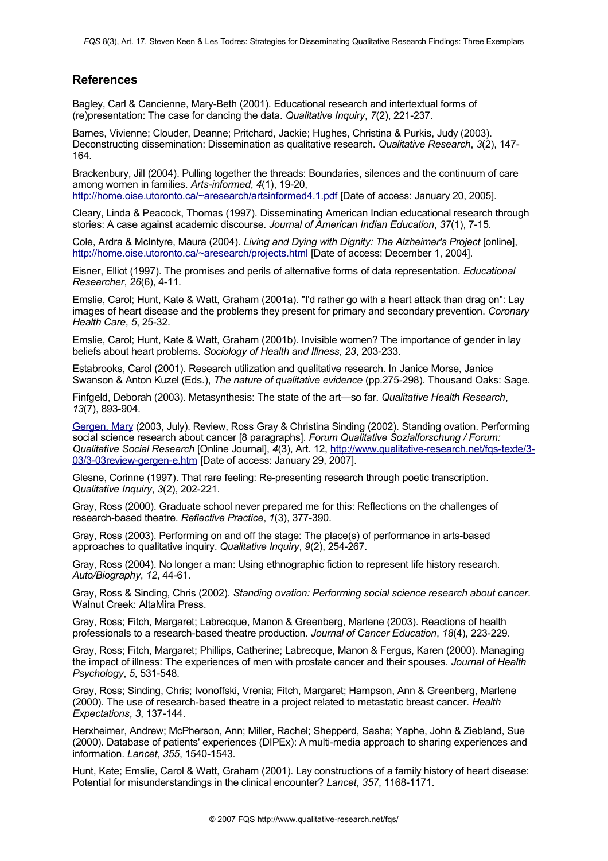### <span id="page-8-0"></span>**References**

Bagley, Carl & Cancienne, Mary-Beth (2001). Educational research and intertextual forms of (re)presentation: The case for dancing the data. *Qualitative Inquiry*, *7*(2), 221-237.

Barnes, Vivienne; Clouder, Deanne; Pritchard, Jackie; Hughes, Christina & Purkis, Judy (2003). Deconstructing dissemination: Dissemination as qualitative research. *Qualitative Research*, *3*(2), 147- 164.

Brackenbury, Jill (2004). Pulling together the threads: Boundaries, silences and the continuum of care among women in families. *Arts-informed*, *4*(1), 19-20,

<http://home.oise.utoronto.ca/~aresearch/artsinformed4.1.pdf> [Date of access: January 20, 2005].

Cleary, Linda & Peacock, Thomas (1997). Disseminating American Indian educational research through stories: A case against academic discourse. *Journal of American Indian Education*, *37*(1), 7-15.

Cole, Ardra & McIntyre, Maura (2004). *Living and Dying with Dignity: The Alzheimer's Project* [online], <http://home.oise.utoronto.ca/~aresearch/projects.html> [Date of access: December 1, 2004].

Eisner, Elliot (1997). The promises and perils of alternative forms of data representation. *Educational Researcher*, *26*(6), 4-11.

Emslie, Carol; Hunt, Kate & Watt, Graham (2001a). "I'd rather go with a heart attack than drag on": Lay images of heart disease and the problems they present for primary and secondary prevention. *Coronary Health Care*, *5*, 25-32.

Emslie, Carol; Hunt, Kate & Watt, Graham (2001b). Invisible women? The importance of gender in lay beliefs about heart problems. *Sociology of Health and Illness*, *23*, 203-233.

Estabrooks, Carol (2001). Research utilization and qualitative research. In Janice Morse, Janice Swanson & Anton Kuzel (Eds.), *The nature of qualitative evidence* (pp.275-298). Thousand Oaks: Sage.

Finfgeld, Deborah (2003). Metasynthesis: The state of the art—so far. *Qualitative Health Research*, *13*(7), 893-904.

[Gergen,](http://www.qualitative-research.net/fqs/beirat/gergen-mary-e.htm) Mary (2003, July). Review, Ross Gray & Christina Sinding (2002). Standing ovation. Performing social science research about cancer [8 paragraphs]. *Forum Qualitative Sozialforschung / Forum: Qualitative Social Research* [Online Journal], *4*(3), Art. 12, [http://www.qualitative-research.net/fqs-texte/3-](http://www.qualitative-research.net/fqs-texte/3-03/3-03review-gergen-e.htm) [03/3-03review-gergen-e.htm](http://www.qualitative-research.net/fqs-texte/3-03/3-03review-gergen-e.htm) [Date of access: January 29, 2007].

Glesne, Corinne (1997). That rare feeling: Re-presenting research through poetic transcription. *Qualitative Inquiry*, *3*(2), 202-221.

Gray, Ross (2000). Graduate school never prepared me for this: Reflections on the challenges of research-based theatre. *Reflective Practice*, *1*(3), 377-390.

Gray, Ross (2003). Performing on and off the stage: The place(s) of performance in arts-based approaches to qualitative inquiry. *Qualitative Inquiry*, *9*(2), 254-267.

Gray, Ross (2004). No longer a man: Using ethnographic fiction to represent life history research. *Auto/Biography*, *12*, 44-61.

Gray, Ross & Sinding, Chris (2002). *Standing ovation: Performing social science research about cancer*. Walnut Creek: AltaMira Press.

Gray, Ross; Fitch, Margaret; Labrecque, Manon & Greenberg, Marlene (2003). Reactions of health professionals to a research-based theatre production. *Journal of Cancer Education*, *18*(4), 223-229.

Gray, Ross; Fitch, Margaret; Phillips, Catherine; Labrecque, Manon & Fergus, Karen (2000). Managing the impact of illness: The experiences of men with prostate cancer and their spouses. *Journal of Health Psychology*, *5*, 531-548.

Gray, Ross; Sinding, Chris; Ivonoffski, Vrenia; Fitch, Margaret; Hampson, Ann & Greenberg, Marlene (2000). The use of research-based theatre in a project related to metastatic breast cancer. *Health Expectations*, *3*, 137-144.

Herxheimer, Andrew; McPherson, Ann; Miller, Rachel; Shepperd, Sasha; Yaphe, John & Ziebland, Sue (2000). Database of patients' experiences (DIPEx): A multi-media approach to sharing experiences and information. *Lancet*, *355*, 1540-1543.

Hunt, Kate; Emslie, Carol & Watt, Graham (2001). Lay constructions of a family history of heart disease: Potential for misunderstandings in the clinical encounter? *Lancet*, *357*, 1168-1171.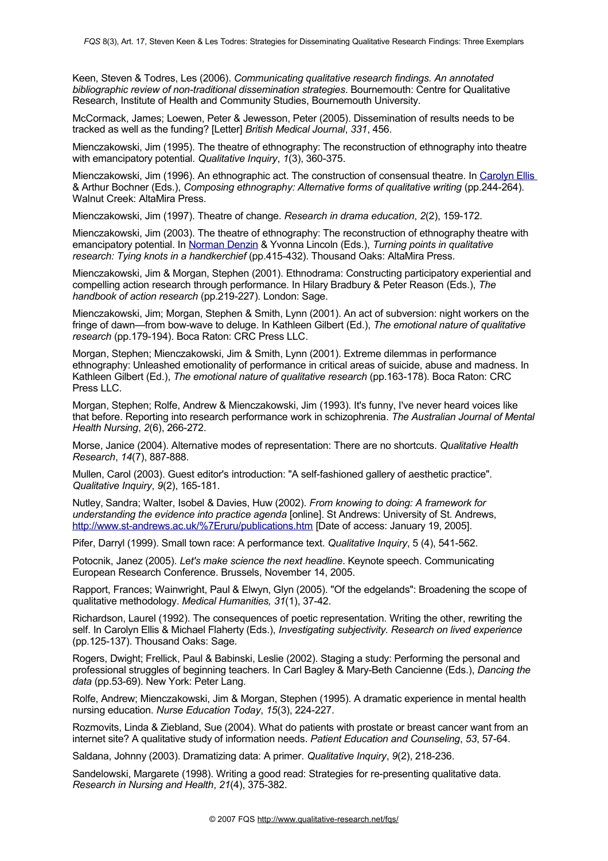Keen, Steven & Todres, Les (2006). *Communicating qualitative research findings. An annotated bibliographic review of non-traditional dissemination strategies*. Bournemouth: Centre for Qualitative Research, Institute of Health and Community Studies, Bournemouth University.

McCormack, James; Loewen, Peter & Jewesson, Peter (2005). Dissemination of results needs to be tracked as well as the funding? [Letter] *British Medical Journal*, *331*, 456.

Mienczakowski, Jim (1995). The theatre of ethnography: The reconstruction of ethnography into theatre with emancipatory potential. *Qualitative Inquiry*, *1*(3), 360-375.

Mienczakowski, Jim (1996). An ethnographic act. The construction of consensual theatre. In [Carolyn](http://www.qualitative-research.net/fqs/beirat/ellis-e.htm) Ellis & Arthur Bochner (Eds.), *Composing ethnography: Alternative forms of qualitative writing* (pp.244-264). Walnut Creek: AltaMira Press.

Mienczakowski, Jim (1997). Theatre of change. *Research in drama education*, *2*(2), 159-172.

Mienczakowski, Jim (2003). The theatre of ethnography: The reconstruction of ethnography theatre with emancipatory potential. In [Norman](http://www.qualitative-research.net/fqs/beirat/denzin-e.htm) Denzin & Yvonna Lincoln (Eds.), *Turning points in qualitative research: Tying knots in a handkerchief* (pp.415-432). Thousand Oaks: AltaMira Press.

Mienczakowski, Jim & Morgan, Stephen (2001). Ethnodrama: Constructing participatory experiential and compelling action research through performance. In Hilary Bradbury & Peter Reason (Eds.), *The handbook of action research* (pp.219-227). London: Sage.

Mienczakowski, Jim; Morgan, Stephen & Smith, Lynn (2001). An act of subversion: night workers on the fringe of dawn—from bow-wave to deluge. In Kathleen Gilbert (Ed.), *The emotional nature of qualitative research* (pp.179-194). Boca Raton: CRC Press LLC.

Morgan, Stephen; Mienczakowski, Jim & Smith, Lynn (2001). Extreme dilemmas in performance ethnography: Unleashed emotionality of performance in critical areas of suicide, abuse and madness. In Kathleen Gilbert (Ed.), *The emotional nature of qualitative research* (pp.163-178). Boca Raton: CRC Press LLC.

Morgan, Stephen; Rolfe, Andrew & Mienczakowski, Jim (1993). It's funny, I've never heard voices like that before. Reporting into research performance work in schizophrenia. *The Australian Journal of Mental Health Nursing*, *2*(6), 266-272.

Morse, Janice (2004). Alternative modes of representation: There are no shortcuts. *Qualitative Health Research*, *14*(7), 887-888.

Mullen, Carol (2003). Guest editor's introduction: "A self-fashioned gallery of aesthetic practice". *Qualitative Inquiry*, *9*(2), 165-181.

Nutley, Sandra; Walter, Isobel & Davies, Huw (2002). *From knowing to doing: A framework for understanding the evidence into practice agenda* [online]. St Andrews: University of St. Andrews, [http://www.st-andrews.ac.uk/%7Eruru/publications.htm](http://www.st-andrews.ac.uk/~ruru/publications.htm) [Date of access: January 19, 2005].

Pifer, Darryl (1999). Small town race: A performance text. *Qualitative Inquiry*, 5 (4), 541-562.

Potocnik, Janez (2005). *Let's make science the next headline*. Keynote speech. Communicating European Research Conference. Brussels, November 14, 2005.

Rapport, Frances; Wainwright, Paul & Elwyn, Glyn (2005). "Of the edgelands": Broadening the scope of qualitative methodology. *Medical Humanities, 31*(1), 37-42.

Richardson, Laurel (1992). The consequences of poetic representation. Writing the other, rewriting the self. In Carolyn Ellis & Michael Flaherty (Eds.), *Investigating subjectivity. Research on lived experience* (pp.125-137). Thousand Oaks: Sage.

Rogers, Dwight; Frellick, Paul & Babinski, Leslie (2002). Staging a study: Performing the personal and professional struggles of beginning teachers. In Carl Bagley & Mary-Beth Cancienne (Eds.), *Dancing the data* (pp.53-69). New York: Peter Lang.

Rolfe, Andrew; Mienczakowski, Jim & Morgan, Stephen (1995). A dramatic experience in mental health nursing education. *Nurse Education Today*, *15*(3), 224-227.

Rozmovits, Linda & Ziebland, Sue (2004). What do patients with prostate or breast cancer want from an internet site? A qualitative study of information needs. *Patient Education and Counseling*, *53*, 57-64.

Saldana, Johnny (2003). Dramatizing data: A primer. *Qualitative Inquiry*, *9*(2), 218-236.

Sandelowski, Margarete (1998). Writing a good read: Strategies for re-presenting qualitative data. *Research in Nursing and Health*, *21*(4), 375-382.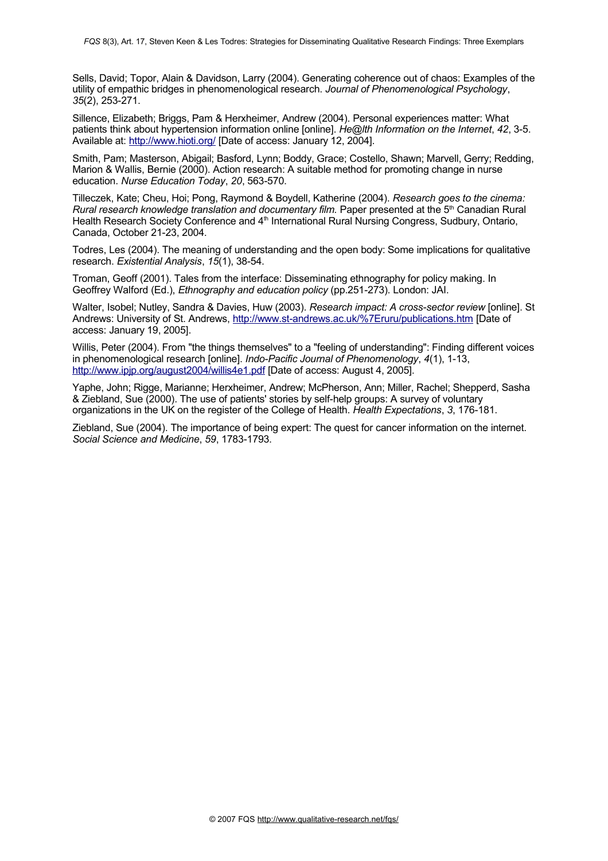Sells, David; Topor, Alain & Davidson, Larry (2004). Generating coherence out of chaos: Examples of the utility of empathic bridges in phenomenological research. *Journal of Phenomenological Psychology*, *35*(2), 253-271.

Sillence, Elizabeth; Briggs, Pam & Herxheimer, Andrew (2004). Personal experiences matter: What patients think about hypertension information online [online]. *He@lth Information on the Internet*, *42*, 3-5. Available at: <http://www.hioti.org/> [Date of access: January 12, 2004].

Smith, Pam; Masterson, Abigail; Basford, Lynn; Boddy, Grace; Costello, Shawn; Marvell, Gerry; Redding, Marion & Wallis, Bernie (2000). Action research: A suitable method for promoting change in nurse education. *Nurse Education Today*, *20*, 563-570.

Tilleczek, Kate; Cheu, Hoi; Pong, Raymond & Boydell, Katherine (2004). *Research goes to the cinema: Rural research knowledge translation and documentary film.* Paper presented at the 5 th Canadian Rural Health Research Society Conference and 4<sup>th</sup> International Rural Nursing Congress, Sudbury, Ontario, Canada, October 21-23, 2004.

Todres, Les (2004). The meaning of understanding and the open body: Some implications for qualitative research. *Existential Analysis*, *15*(1), 38-54.

Troman, Geoff (2001). Tales from the interface: Disseminating ethnography for policy making. In Geoffrey Walford (Ed.), *Ethnography and education policy* (pp.251-273). London: JAI.

Walter, Isobel; Nutley, Sandra & Davies, Huw (2003). *Research impact: A cross-sector review* [online]. St Andrews: University of St. Andrews, [http://www.st-andrews.ac.uk/%7Eruru/publications.htm](http://www.st-andrews.ac.uk/~ruru/publications.htm) [Date of access: January 19, 2005].

Willis, Peter (2004). From "the things themselves" to a "feeling of understanding": Finding different voices in phenomenological research [online]. *Indo-Pacific Journal of Phenomenology*, *4*(1), 1-13, <http://www.ipjp.org/august2004/willis4e1.pdf> [Date of access: August 4, 2005].

Yaphe, John; Rigge, Marianne; Herxheimer, Andrew; McPherson, Ann; Miller, Rachel; Shepperd, Sasha & Ziebland, Sue (2000). The use of patients' stories by self-help groups: A survey of voluntary organizations in the UK on the register of the College of Health. *Health Expectations*, *3*, 176-181.

Ziebland, Sue (2004). The importance of being expert: The quest for cancer information on the internet. *Social Science and Medicine*, *59*, 1783-1793.